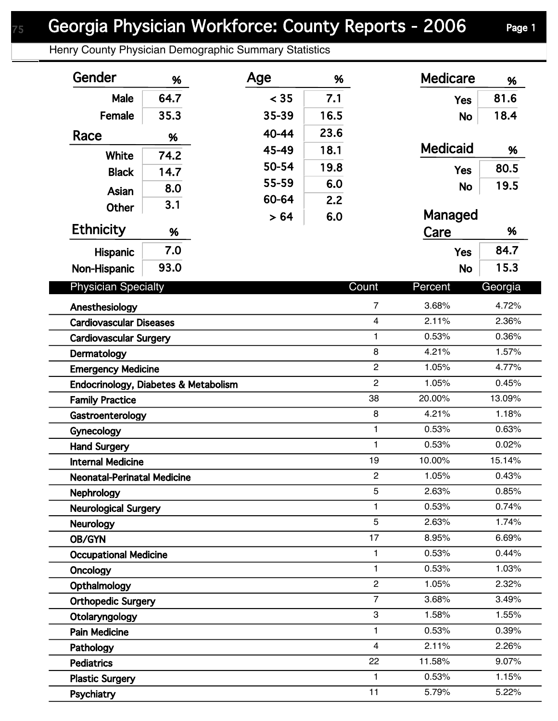## Georgia Physician Workforce: County Reports - 2006 Page 1

Henry County Physician Demographic Summary Statistics

| Gender                               | %    | Age   | %    |                | <b>Medicare</b> | %       |  |
|--------------------------------------|------|-------|------|----------------|-----------------|---------|--|
| Male                                 | 64.7 | < 35  | 7.1  |                | <b>Yes</b>      | 81.6    |  |
| Female                               | 35.3 | 35-39 | 16.5 |                | <b>No</b>       | 18.4    |  |
| Race                                 | %    | 40-44 | 23.6 |                |                 |         |  |
|                                      |      | 45-49 | 18.1 |                | <b>Medicaid</b> | %       |  |
| White                                | 74.2 | 50-54 | 19.8 |                |                 | 80.5    |  |
| <b>Black</b>                         | 14.7 | 55-59 | 6.0  |                | <b>Yes</b>      |         |  |
| Asian                                | 8.0  | 60-64 | 2.2  |                | <b>No</b>       | 19.5    |  |
| <b>Other</b>                         | 3.1  | > 64  | 6.0  |                | Managed         |         |  |
| <b>Ethnicity</b>                     | %    |       |      |                | Care            | %       |  |
| <b>Hispanic</b>                      | 7.0  |       |      |                | <b>Yes</b>      | 84.7    |  |
|                                      | 93.0 |       |      |                |                 | 15.3    |  |
| Non-Hispanic                         |      |       |      |                | <b>No</b>       |         |  |
| <b>Physician Specialty</b>           |      |       |      | Count          | Percent         | Georgia |  |
| Anesthesiology                       |      |       |      | $\overline{7}$ | 3.68%           | 4.72%   |  |
| <b>Cardiovascular Diseases</b>       |      |       |      | $\overline{4}$ | 2.11%           | 2.36%   |  |
| <b>Cardiovascular Surgery</b>        |      |       |      | 1              | 0.53%           | 0.36%   |  |
| Dermatology                          |      |       |      | 8              | 4.21%           | 1.57%   |  |
| <b>Emergency Medicine</b>            |      |       |      | $\overline{c}$ | 1.05%           | 4.77%   |  |
| Endocrinology, Diabetes & Metabolism |      |       |      | $\overline{2}$ | 1.05%           | 0.45%   |  |
| <b>Family Practice</b>               |      |       |      | 38             | 20.00%          | 13.09%  |  |
| Gastroenterology                     |      |       |      | 8              | 4.21%           | 1.18%   |  |
| Gynecology                           |      |       |      | $\mathbf{1}$   | 0.53%           | 0.63%   |  |
| <b>Hand Surgery</b>                  |      |       |      | $\mathbf{1}$   | 0.53%           | 0.02%   |  |
| <b>Internal Medicine</b>             |      |       |      | 19             | 10.00%          | 15.14%  |  |
| <b>Neonatal-Perinatal Medicine</b>   |      |       |      | $\overline{c}$ | 1.05%           | 0.43%   |  |
| <b>Nephrology</b>                    |      |       |      | 5              | 2.63%           | 0.85%   |  |
| <b>Neurological Surgery</b>          |      |       |      | 1              | 0.53%           | 0.74%   |  |
| <b>Neurology</b>                     |      |       |      | 5              | 2.63%           | 1.74%   |  |
| OB/GYN                               |      |       |      | 17             | 8.95%           | 6.69%   |  |
| <b>Occupational Medicine</b>         |      |       |      | $\mathbf{1}$   | 0.53%           | 0.44%   |  |
| Oncology                             |      |       |      | $\mathbf{1}$   | 0.53%           | 1.03%   |  |
| Opthalmology                         |      |       |      | $\overline{c}$ | 1.05%           | 2.32%   |  |
| <b>Orthopedic Surgery</b>            |      |       |      | $\overline{7}$ | 3.68%           | 3.49%   |  |
| Otolaryngology                       |      |       |      | $\,3$          | 1.58%           | 1.55%   |  |
| <b>Pain Medicine</b>                 |      |       |      | 1              | 0.53%           | 0.39%   |  |
| Pathology                            |      |       |      | $\overline{4}$ | 2.11%           | 2.26%   |  |
| <b>Pediatrics</b>                    |      |       |      | 22             | 11.58%          | 9.07%   |  |
| <b>Plastic Surgery</b>               |      |       |      | 1              | 0.53%           | 1.15%   |  |
| Psychiatry                           |      |       |      | 11             | 5.79%           | 5.22%   |  |